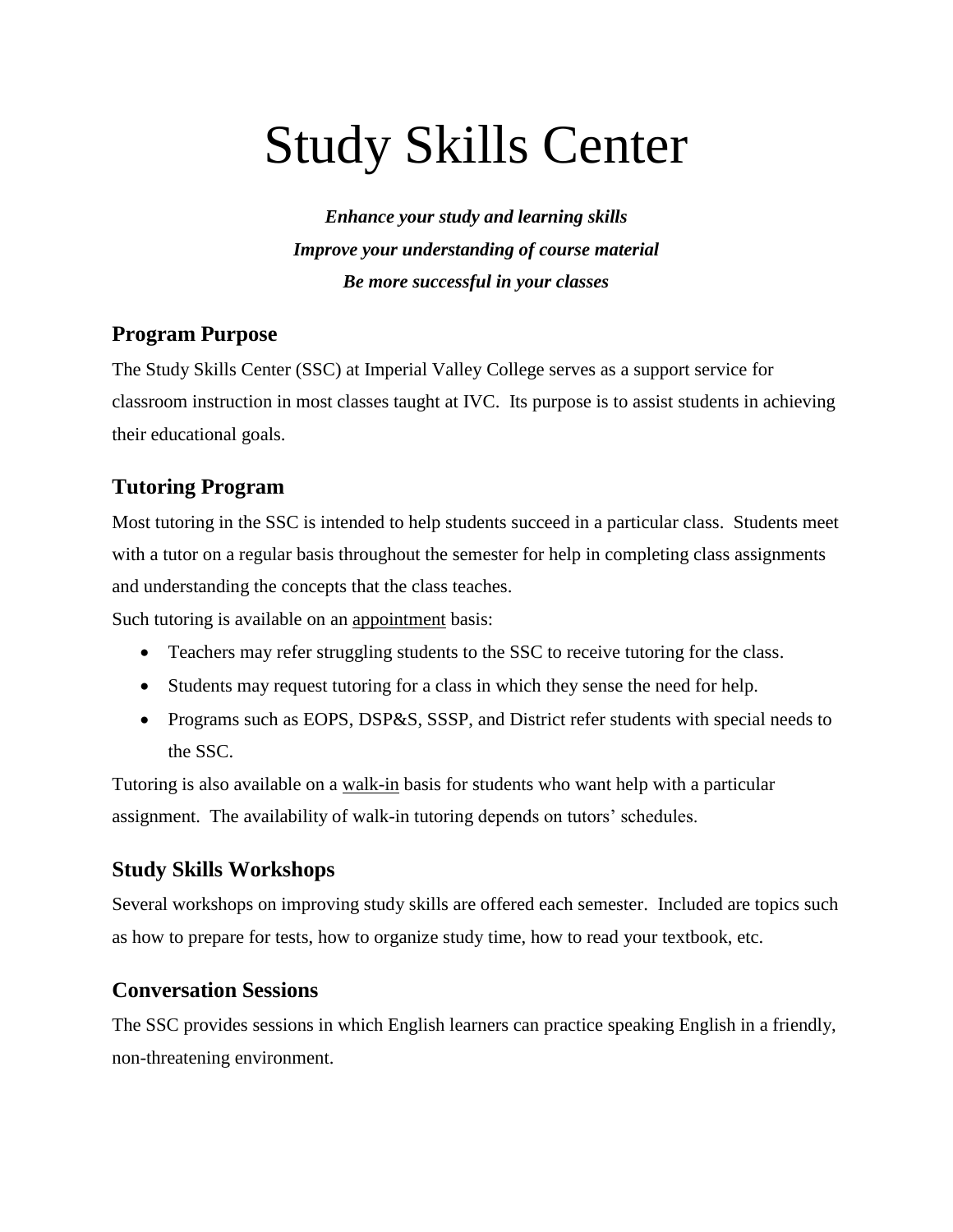# Study Skills Center

*Enhance your study and learning skills Improve your understanding of course material Be more successful in your classes*

#### **Program Purpose**

The Study Skills Center (SSC) at Imperial Valley College serves as a support service for classroom instruction in most classes taught at IVC. Its purpose is to assist students in achieving their educational goals.

## **Tutoring Program**

Most tutoring in the SSC is intended to help students succeed in a particular class. Students meet with a tutor on a regular basis throughout the semester for help in completing class assignments and understanding the concepts that the class teaches.

Such tutoring is available on an appointment basis:

- Teachers may refer struggling students to the SSC to receive tutoring for the class.
- Students may request tutoring for a class in which they sense the need for help.
- Programs such as EOPS, DSP&S, SSSP, and District refer students with special needs to the SSC.

Tutoring is also available on a walk-in basis for students who want help with a particular assignment. The availability of walk-in tutoring depends on tutors' schedules.

### **Study Skills Workshops**

Several workshops on improving study skills are offered each semester. Included are topics such as how to prepare for tests, how to organize study time, how to read your textbook, etc.

#### **Conversation Sessions**

The SSC provides sessions in which English learners can practice speaking English in a friendly, non-threatening environment.